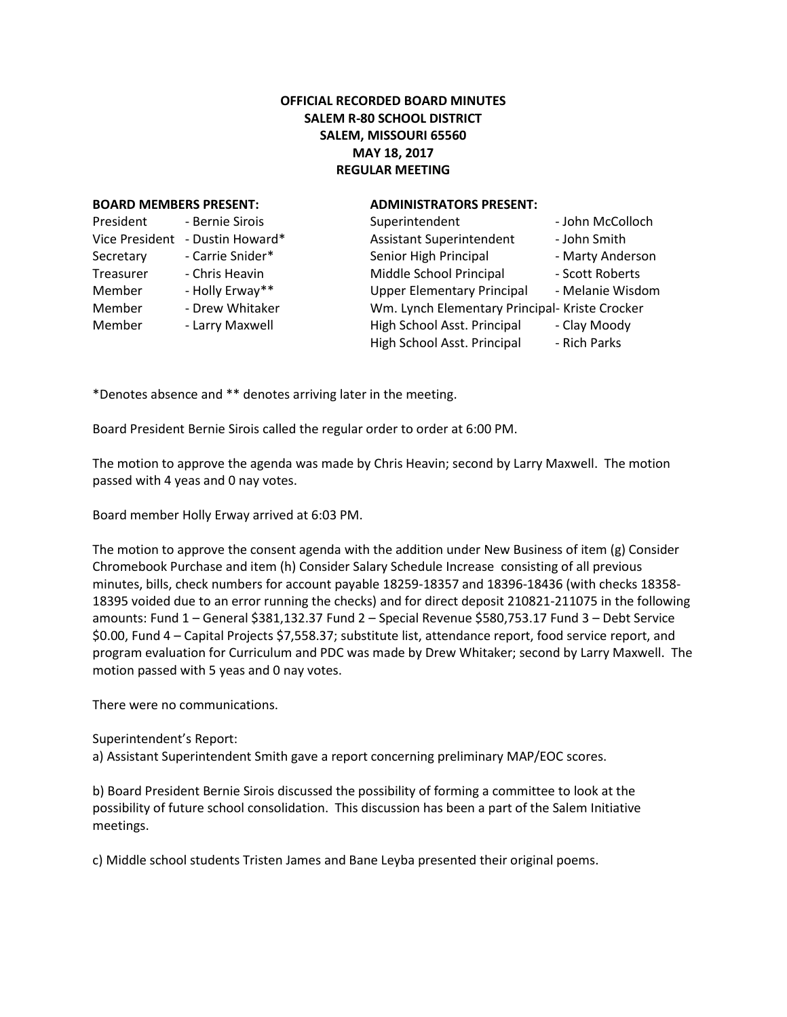## **OFFICIAL RECORDED BOARD MINUTES SALEM R-80 SCHOOL DISTRICT SALEM, MISSOURI 65560 MAY 18, 2017 REGULAR MEETING**

#### **BOARD MEMBERS PRESENT: ADMINISTRATORS PRESENT:**

| President             | - Bernie Sirois  |
|-----------------------|------------------|
| <b>Vice President</b> | - Dustin Howard* |
| Secretary             | - Carrie Snider* |
| <b>Treasurer</b>      | - Chris Heavin   |
| Member                | - Holly Erway**  |
| Member                | - Drew Whitaker  |
| Member                | - Larry Maxwell  |
|                       |                  |

| President      | - Bernie Sirois  | Superintendent                                 | - John McColloch |
|----------------|------------------|------------------------------------------------|------------------|
| Vice President | - Dustin Howard* | <b>Assistant Superintendent</b>                | - John Smith     |
| Secretary      | - Carrie Snider* | Senior High Principal                          | - Marty Anderson |
| Treasurer      | - Chris Heavin   | Middle School Principal                        | - Scott Roberts  |
| Member         | - Holly Erway**  | <b>Upper Elementary Principal</b>              | - Melanie Wisdom |
| Member         | - Drew Whitaker  | Wm. Lynch Elementary Principal- Kriste Crocker |                  |
| Member         | - Larry Maxwell  | High School Asst. Principal                    | - Clay Moody     |
|                |                  | High School Asst. Principal                    | - Rich Parks     |
|                |                  |                                                |                  |

\*Denotes absence and \*\* denotes arriving later in the meeting.

Board President Bernie Sirois called the regular order to order at 6:00 PM.

The motion to approve the agenda was made by Chris Heavin; second by Larry Maxwell. The motion passed with 4 yeas and 0 nay votes.

Board member Holly Erway arrived at 6:03 PM.

The motion to approve the consent agenda with the addition under New Business of item (g) Consider Chromebook Purchase and item (h) Consider Salary Schedule Increase consisting of all previous minutes, bills, check numbers for account payable 18259-18357 and 18396-18436 (with checks 18358- 18395 voided due to an error running the checks) and for direct deposit 210821-211075 in the following amounts: Fund 1 – General \$381,132.37 Fund 2 – Special Revenue \$580,753.17 Fund 3 – Debt Service \$0.00, Fund 4 – Capital Projects \$7,558.37; substitute list, attendance report, food service report, and program evaluation for Curriculum and PDC was made by Drew Whitaker; second by Larry Maxwell. The motion passed with 5 yeas and 0 nay votes.

There were no communications.

Superintendent's Report:

a) Assistant Superintendent Smith gave a report concerning preliminary MAP/EOC scores.

b) Board President Bernie Sirois discussed the possibility of forming a committee to look at the possibility of future school consolidation. This discussion has been a part of the Salem Initiative meetings.

c) Middle school students Tristen James and Bane Leyba presented their original poems.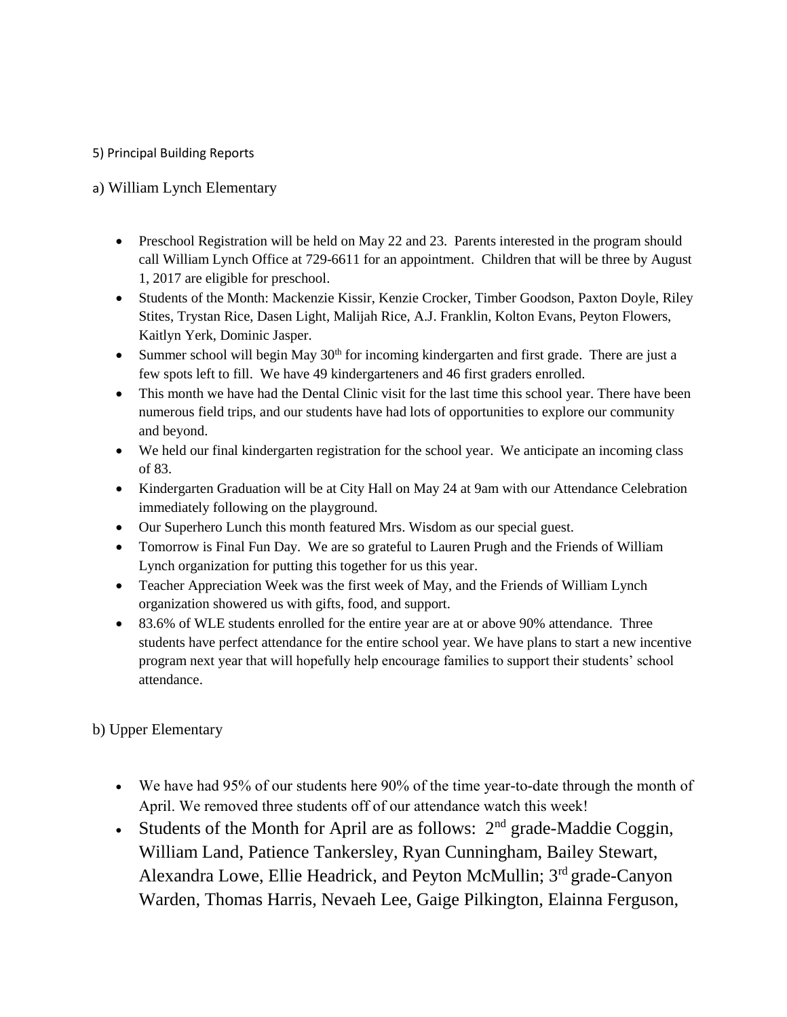## 5) Principal Building Reports

# a) William Lynch Elementary

- Preschool Registration will be held on May 22 and 23. Parents interested in the program should call William Lynch Office at 729-6611 for an appointment. Children that will be three by August 1, 2017 are eligible for preschool.
- Students of the Month: Mackenzie Kissir, Kenzie Crocker, Timber Goodson, Paxton Doyle, Riley Stites, Trystan Rice, Dasen Light, Malijah Rice, A.J. Franklin, Kolton Evans, Peyton Flowers, Kaitlyn Yerk, Dominic Jasper.
- Summer school will begin May  $30<sup>th</sup>$  for incoming kindergarten and first grade. There are just a few spots left to fill. We have 49 kindergarteners and 46 first graders enrolled.
- This month we have had the Dental Clinic visit for the last time this school year. There have been numerous field trips, and our students have had lots of opportunities to explore our community and beyond.
- We held our final kindergarten registration for the school year. We anticipate an incoming class of 83.
- Kindergarten Graduation will be at City Hall on May 24 at 9am with our Attendance Celebration immediately following on the playground.
- Our Superhero Lunch this month featured Mrs. Wisdom as our special guest.
- Tomorrow is Final Fun Day. We are so grateful to Lauren Prugh and the Friends of William Lynch organization for putting this together for us this year.
- Teacher Appreciation Week was the first week of May, and the Friends of William Lynch organization showered us with gifts, food, and support.
- 83.6% of WLE students enrolled for the entire year are at or above 90% attendance. Three students have perfect attendance for the entire school year. We have plans to start a new incentive program next year that will hopefully help encourage families to support their students' school attendance.

b) Upper Elementary

- We have had 95% of our students here 90% of the time year-to-date through the month of April. We removed three students off of our attendance watch this week!
- Students of the Month for April are as follows:  $2<sup>nd</sup>$  grade-Maddie Coggin, William Land, Patience Tankersley, Ryan Cunningham, Bailey Stewart, Alexandra Lowe, Ellie Headrick, and Peyton McMullin; 3rd grade-Canyon Warden, Thomas Harris, Nevaeh Lee, Gaige Pilkington, Elainna Ferguson,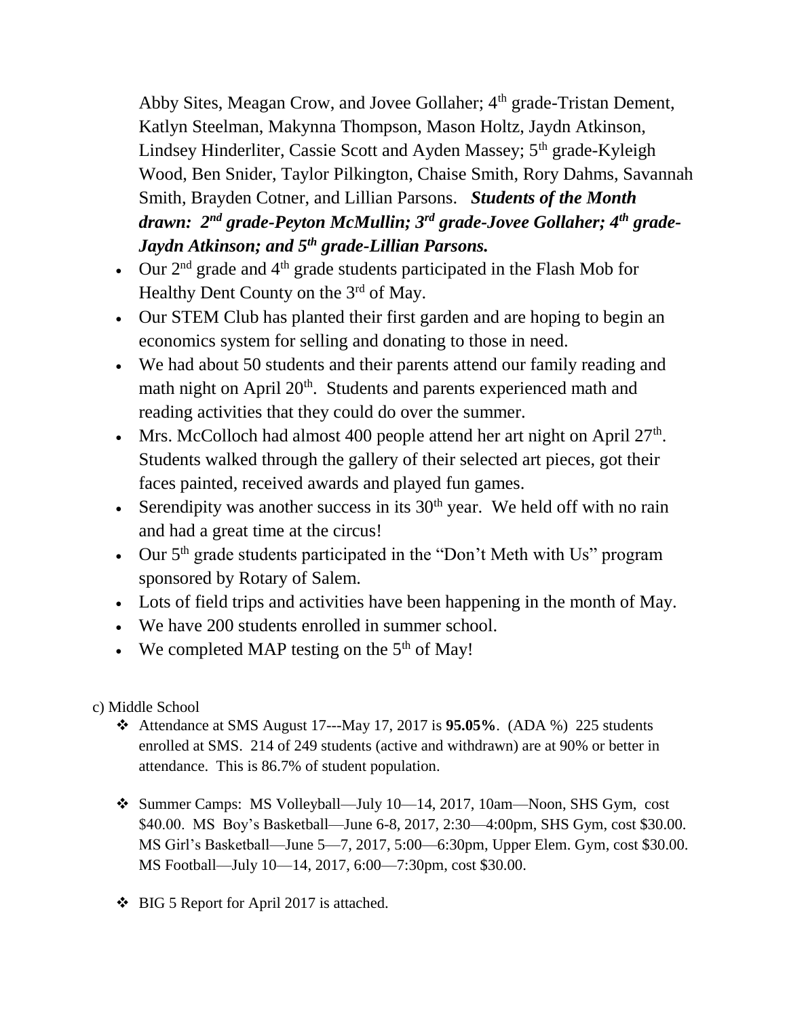Abby Sites, Meagan Crow, and Jovee Gollaher; 4<sup>th</sup> grade-Tristan Dement, Katlyn Steelman, Makynna Thompson, Mason Holtz, Jaydn Atkinson, Lindsey Hinderliter, Cassie Scott and Ayden Massey; 5<sup>th</sup> grade-Kyleigh Wood, Ben Snider, Taylor Pilkington, Chaise Smith, Rory Dahms, Savannah Smith, Brayden Cotner, and Lillian Parsons. *Students of the Month drawn: 2nd grade-Peyton McMullin; 3rd grade-Jovee Gollaher; 4th grade-Jaydn Atkinson; and 5th grade-Lillian Parsons.* 

- Our  $2<sup>nd</sup>$  grade and  $4<sup>th</sup>$  grade students participated in the Flash Mob for Healthy Dent County on the  $3<sup>rd</sup>$  of May.
- Our STEM Club has planted their first garden and are hoping to begin an economics system for selling and donating to those in need.
- We had about 50 students and their parents attend our family reading and math night on April 20<sup>th</sup>. Students and parents experienced math and reading activities that they could do over the summer.
- Mrs. McColloch had almost 400 people attend her art night on April  $27<sup>th</sup>$ . Students walked through the gallery of their selected art pieces, got their faces painted, received awards and played fun games.
- Serendipity was another success in its  $30<sup>th</sup>$  year. We held off with no rain and had a great time at the circus!
- Our 5<sup>th</sup> grade students participated in the "Don't Meth with Us" program sponsored by Rotary of Salem.
- Lots of field trips and activities have been happening in the month of May.
- We have 200 students enrolled in summer school.
- We completed MAP testing on the  $5<sup>th</sup>$  of May!

c) Middle School

- Attendance at SMS August 17---May 17, 2017 is **95.05%**. (ADA %) 225 students enrolled at SMS. 214 of 249 students (active and withdrawn) are at 90% or better in attendance. This is 86.7% of student population.
- Summer Camps: MS Volleyball—July 10—14, 2017, 10am—Noon, SHS Gym, cost \$40.00. MS Boy's Basketball—June 6-8, 2017, 2:30—4:00pm, SHS Gym, cost \$30.00. MS Girl's Basketball—June 5—7, 2017, 5:00—6:30pm, Upper Elem. Gym, cost \$30.00. MS Football—July 10—14, 2017, 6:00—7:30pm, cost \$30.00.
- ❖ BIG 5 Report for April 2017 is attached.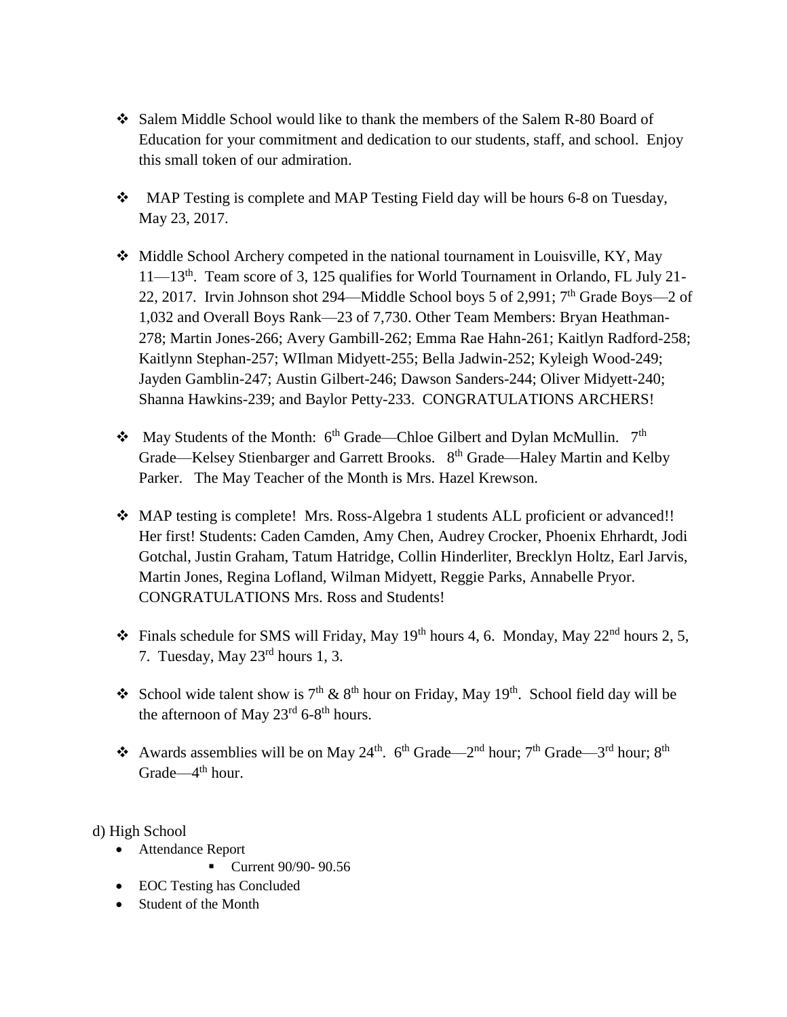- Salem Middle School would like to thank the members of the Salem R-80 Board of Education for your commitment and dedication to our students, staff, and school. Enjoy this small token of our admiration.
- MAP Testing is complete and MAP Testing Field day will be hours 6-8 on Tuesday, May 23, 2017.
- Middle School Archery competed in the national tournament in Louisville, KY, May 11—13th. Team score of 3, 125 qualifies for World Tournament in Orlando, FL July 21- 22, 2017. Irvin Johnson shot 294—Middle School boys 5 of 2,991;  $7<sup>th</sup>$  Grade Boys—2 of 1,032 and Overall Boys Rank—23 of 7,730. Other Team Members: Bryan Heathman-278; Martin Jones-266; Avery Gambill-262; Emma Rae Hahn-261; Kaitlyn Radford-258; Kaitlynn Stephan-257; WIlman Midyett-255; Bella Jadwin-252; Kyleigh Wood-249; Jayden Gamblin-247; Austin Gilbert-246; Dawson Sanders-244; Oliver Midyett-240; Shanna Hawkins-239; and Baylor Petty-233. CONGRATULATIONS ARCHERS!
- May Students of the Month:  $6<sup>th</sup>$  Grade—Chloe Gilbert and Dylan McMullin.  $7<sup>th</sup>$ Grade—Kelsey Stienbarger and Garrett Brooks. 8<sup>th</sup> Grade—Haley Martin and Kelby Parker. The May Teacher of the Month is Mrs. Hazel Krewson.
- MAP testing is complete! Mrs. Ross-Algebra 1 students ALL proficient or advanced!! Her first! Students: Caden Camden, Amy Chen, Audrey Crocker, Phoenix Ehrhardt, Jodi Gotchal, Justin Graham, Tatum Hatridge, Collin Hinderliter, Brecklyn Holtz, Earl Jarvis, Martin Jones, Regina Lofland, Wilman Midyett, Reggie Parks, Annabelle Pryor. CONGRATULATIONS Mrs. Ross and Students!
- $\cdot$  Finals schedule for SMS will Friday, May 19<sup>th</sup> hours 4, 6. Monday, May 22<sup>nd</sup> hours 2, 5, 7. Tuesday, May 23rd hours 1, 3.
- School wide talent show is  $7<sup>th</sup>$  &  $8<sup>th</sup>$  hour on Friday, May 19<sup>th</sup>. School field day will be the afternoon of May  $23^{\text{rd}}$  6-8<sup>th</sup> hours.
- Awards assemblies will be on May 24<sup>th</sup>. 6<sup>th</sup> Grade—2<sup>nd</sup> hour; 7<sup>th</sup> Grade—3<sup>rd</sup> hour; 8<sup>th</sup> Grade—4<sup>th</sup> hour.

d) High School

- Attendance Report
	- Current 90/90-90.56
- EOC Testing has Concluded
- Student of the Month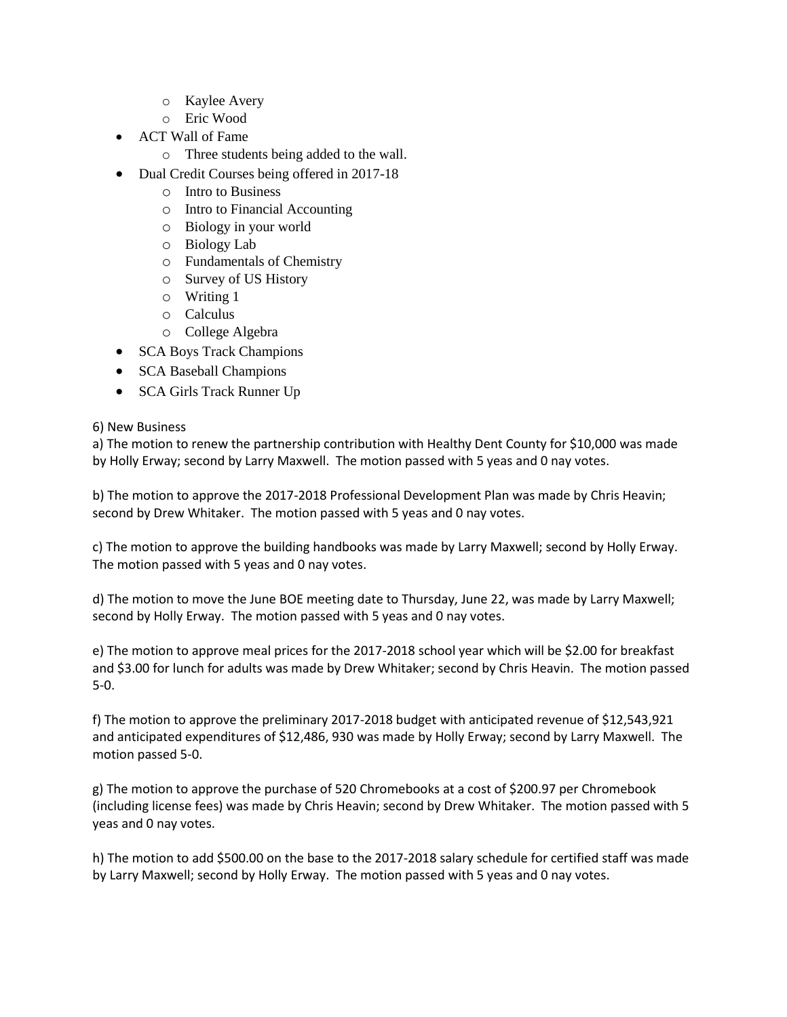- o Kaylee Avery
- o Eric Wood
- ACT Wall of Fame
	- o Three students being added to the wall.
- Dual Credit Courses being offered in 2017-18
	- o Intro to Business
	- o Intro to Financial Accounting
	- o Biology in your world
	- o Biology Lab
	- o Fundamentals of Chemistry
	- o Survey of US History
	- o Writing 1
	- o Calculus
	- o College Algebra
- SCA Boys Track Champions
- SCA Baseball Champions
- SCA Girls Track Runner Up

### 6) New Business

a) The motion to renew the partnership contribution with Healthy Dent County for \$10,000 was made by Holly Erway; second by Larry Maxwell. The motion passed with 5 yeas and 0 nay votes.

b) The motion to approve the 2017-2018 Professional Development Plan was made by Chris Heavin; second by Drew Whitaker. The motion passed with 5 yeas and 0 nay votes.

c) The motion to approve the building handbooks was made by Larry Maxwell; second by Holly Erway. The motion passed with 5 yeas and 0 nay votes.

d) The motion to move the June BOE meeting date to Thursday, June 22, was made by Larry Maxwell; second by Holly Erway. The motion passed with 5 yeas and 0 nay votes.

e) The motion to approve meal prices for the 2017-2018 school year which will be \$2.00 for breakfast and \$3.00 for lunch for adults was made by Drew Whitaker; second by Chris Heavin. The motion passed 5-0.

f) The motion to approve the preliminary 2017-2018 budget with anticipated revenue of \$12,543,921 and anticipated expenditures of \$12,486, 930 was made by Holly Erway; second by Larry Maxwell. The motion passed 5-0.

g) The motion to approve the purchase of 520 Chromebooks at a cost of \$200.97 per Chromebook (including license fees) was made by Chris Heavin; second by Drew Whitaker. The motion passed with 5 yeas and 0 nay votes.

h) The motion to add \$500.00 on the base to the 2017-2018 salary schedule for certified staff was made by Larry Maxwell; second by Holly Erway. The motion passed with 5 yeas and 0 nay votes.